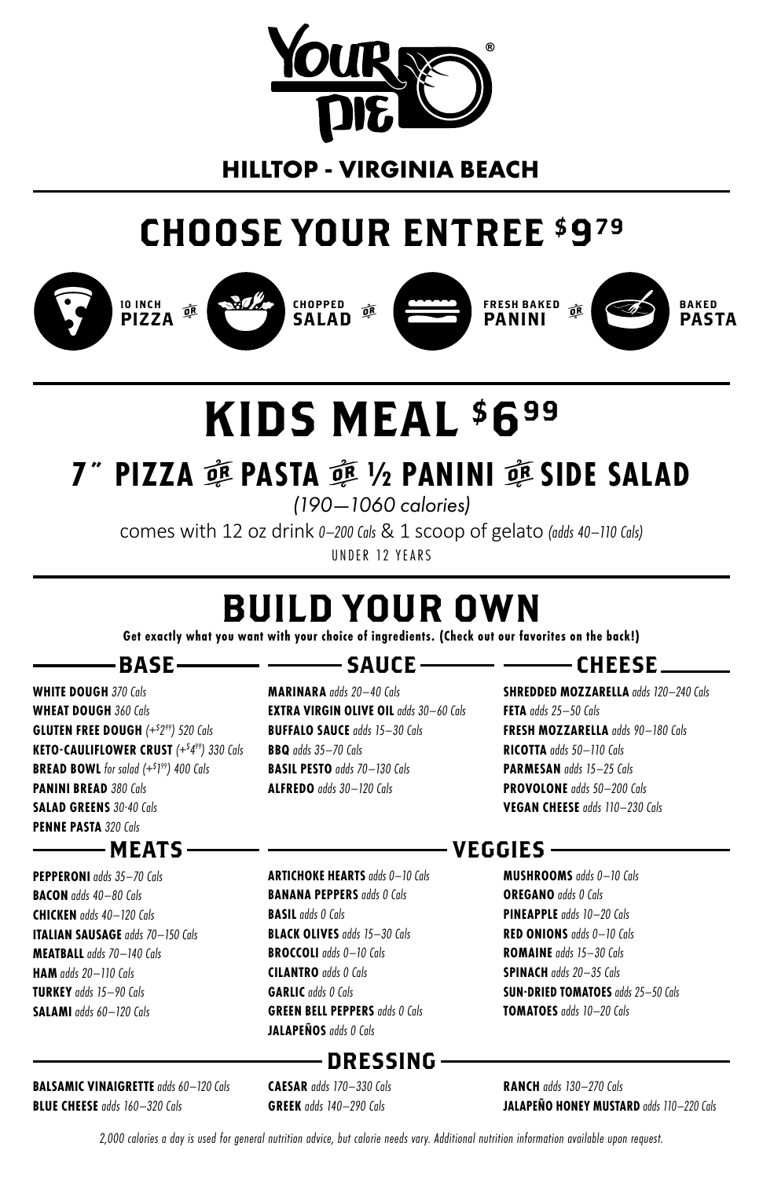

# **HILLTOP - VIRGINIA BEACH**

# CHOOSE YOUR ENTREE \$979















# KIDS MEAL \$699

# **7˝ PIZZA** r **PASTA** r **½ PANINI** r **SIDE SALAD**

*(190—1060 calories)*

comes with 12 oz drink *0–200 Cals* & 1 scoop of gelato *(adds 40–110 Cals)* UNDER 12 YEARS

# BUILD YOUR OWN

**Get exactly what you want with your choice of ingredients. (Check out our favorites on the back!)**

# $-$ BASE $-$

**WHITE DOUGH** *370 Cals* **WHEAT DOUGH** *360 Cals* **GLUTEN FREE DOUGH** *(+\$ 299) 520 Cals* **KETO-CAULIFLOWER CRUST** *(+\$ 499) 330 Cals* **BREAD BOWL** *for salad (+\$ 1 99) 400 Cals* **PANINI BREAD** *380 Cals* **SALAD GREENS** *30-40 Cals* **PENNE PASTA** *320 Cals*

## - MEATS –

**PEPPERONI** *adds 35–70 Cals* **BACON** *adds 40–80 Cals* **CHICKEN** *adds 40–120 Cals* **ITALIAN SAUSAGE** *adds 70–150 Cals* **MEATBALL** *adds 70–140 Cals* **HAM** *adds 20–110 Cals* **TURKEY** *adds 15–90 Cals* **SALAMI** *adds 60–120 Cals*

### **BALSAMIC VINAIGRETTE** *adds 60–120 Cals* **BLUE CHEESE** *adds 160–320 Cals*

# —— ——— SAUCE ——

**MARINARA** *adds 20–40 Cals* **EXTRA VIRGIN OLIVE OIL** *adds 30–60 Cals* **BUFFALO SAUCE** *adds 15–30 Cals* **BBQ** *adds 35–70 Cals* **BASIL PESTO** *adds 70–130 Cals* **ALFREDO** *adds 30–120 Cals*

# $-$  ---------- CHEESE  $-$

**SHREDDED MOZZARELLA** *adds 120–240 Cals* **FETA** *adds 25–50 Cals* **FRESH MOZZARELLA** *adds 90–180 Cals* **RICOTTA** *adds 50–110 Cals* **PARMESAN** *adds 15–25 Cals* **PROVOLONE** *adds 50–200 Cals* **VEGAN CHEESE** *adds 110–230 Cals*

**ARTICHOKE HEARTS** *adds 0–10 Cals* **BANANA PEPPERS** *adds 0 Cals* **BASIL** *adds 0 Cals* **BLACK OLIVES** *adds 15–30 Cals* **BROCCOLI** *adds 0–10 Cals* **CILANTRO** *adds 0 Cals* **GARLIC** *adds 0 Cals* **GREEN BELL PEPPERS** *adds 0 Cals* **JALAPEÑOS** *adds 0 Cals*

# $-$  DRESSING  $-$

**CAESAR** *adds 170–330 Cals* **GREEK** *adds 140–290 Cals*

## – VEGGIES –

**MUSHROOMS** *adds 0–10 Cals* **OREGANO** *adds 0 Cals* **PINEAPPLE** *adds 10–20 Cals* **RED ONIONS** *adds 0–10 Cals* **ROMAINE** *adds 15–30 Cals* **SPINACH** *adds 20–35 Cals* **SUN-DRIED TOMATOES** *adds 25–50 Cals* **TOMATOES** *adds 10–20 Cals*

**RANCH** *adds 130–270 Cals* **JALAPEÑO HONEY MUSTARD** *adds 110–220 Cals*

*2,000 calories a day is used for general nutrition advice, but calorie needs vary. Additional nutrition information available upon request.*